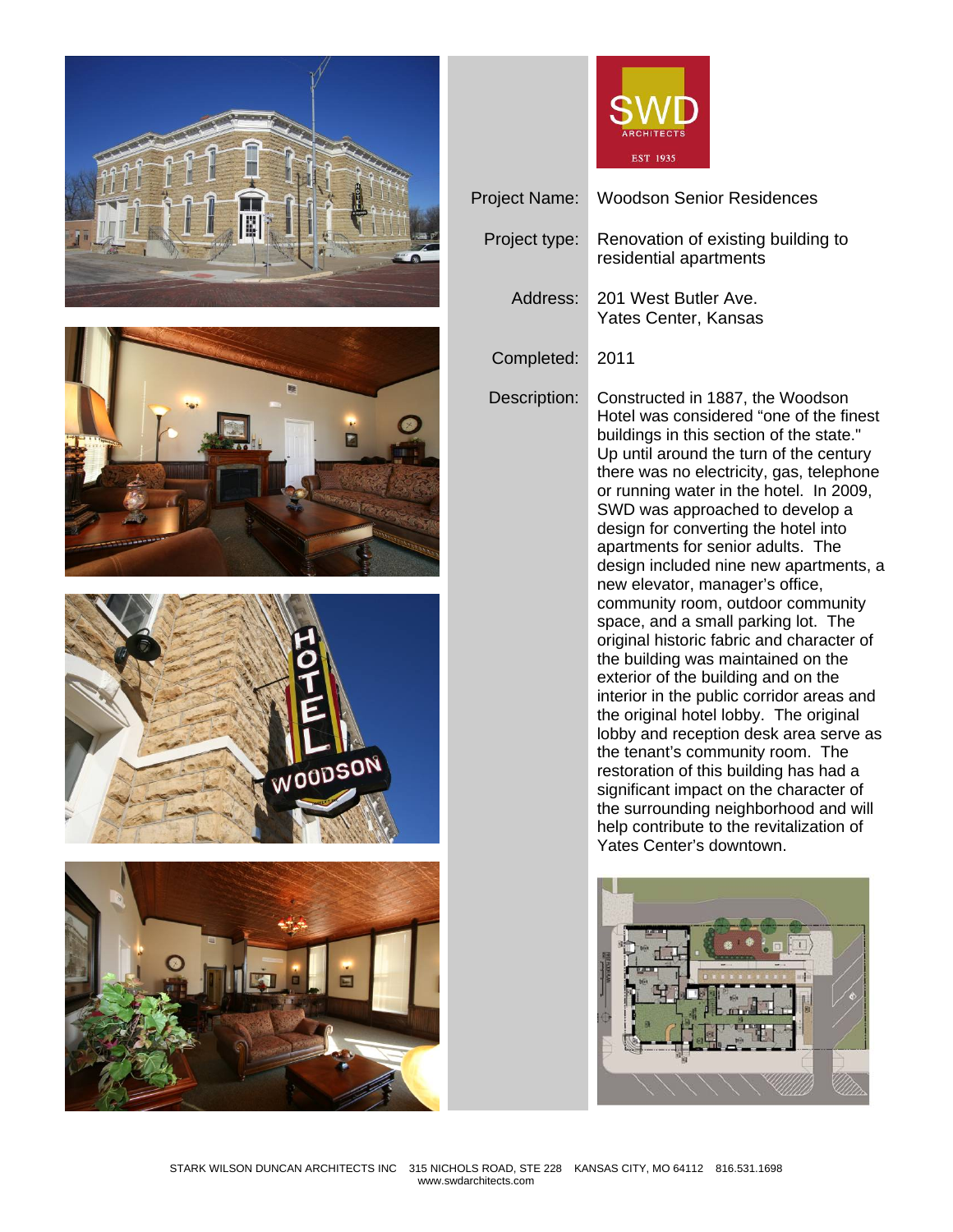









| Project Name: | <b>Woodson Senior Residences</b>                                                                                                                                                                                                                                                                                                                                                                                                                                                                                                                                                                                                                                                                                                                                                                                                                                                                                                                                                                                                       |
|---------------|----------------------------------------------------------------------------------------------------------------------------------------------------------------------------------------------------------------------------------------------------------------------------------------------------------------------------------------------------------------------------------------------------------------------------------------------------------------------------------------------------------------------------------------------------------------------------------------------------------------------------------------------------------------------------------------------------------------------------------------------------------------------------------------------------------------------------------------------------------------------------------------------------------------------------------------------------------------------------------------------------------------------------------------|
| Project type: | Renovation of existing building to<br>residential apartments                                                                                                                                                                                                                                                                                                                                                                                                                                                                                                                                                                                                                                                                                                                                                                                                                                                                                                                                                                           |
| Address:      | 201 West Butler Ave.<br>Yates Center, Kansas                                                                                                                                                                                                                                                                                                                                                                                                                                                                                                                                                                                                                                                                                                                                                                                                                                                                                                                                                                                           |
| Completed:    | 2011                                                                                                                                                                                                                                                                                                                                                                                                                                                                                                                                                                                                                                                                                                                                                                                                                                                                                                                                                                                                                                   |
| Description:  | Constructed in 1887, the Woodson<br>Hotel was considered "one of the finest<br>buildings in this section of the state."<br>Up until around the turn of the century<br>there was no electricity, gas, telephone<br>or running water in the hotel. In 2009,<br>SWD was approached to develop a<br>design for converting the hotel into<br>apartments for senior adults. The<br>design included nine new apartments, a<br>new elevator, manager's office,<br>community room, outdoor community<br>space, and a small parking lot. The<br>original historic fabric and character of<br>the building was maintained on the<br>exterior of the building and on the<br>interior in the public corridor areas and<br>the original hotel lobby. The original<br>lobby and reception desk area serve as<br>the tenant's community room. The<br>restoration of this building has had a<br>significant impact on the character of<br>the surrounding neighborhood and will<br>help contribute to the revitalization of<br>Yates Center's downtown. |